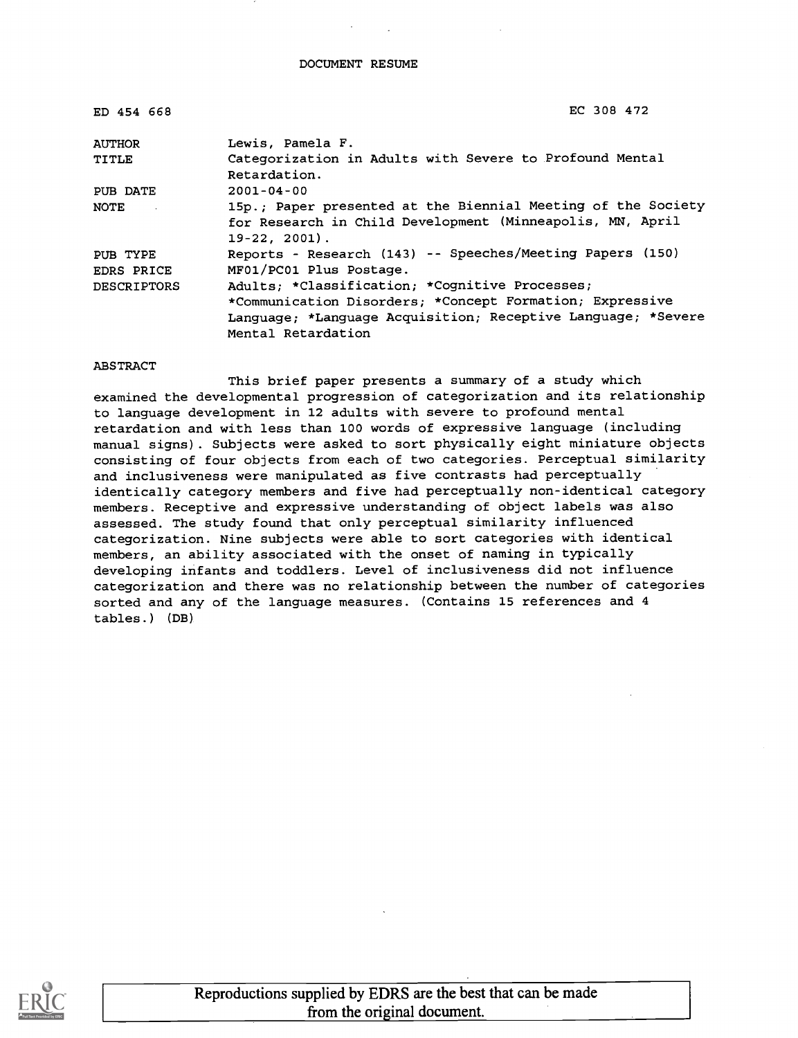DOCUMENT RESUME

| ED 454 668                    | EC 308 472                                                                                                                                                                                       |
|-------------------------------|--------------------------------------------------------------------------------------------------------------------------------------------------------------------------------------------------|
| <b>AUTHOR</b>                 | Lewis, Pamela F.                                                                                                                                                                                 |
| <b>TITLE</b>                  | Categorization in Adults with Severe to Profound Mental<br>Retardation.                                                                                                                          |
| PUB DATE                      | $2001 - 04 - 00$                                                                                                                                                                                 |
| NOTE <b>NOTE</b>              | 15p.; Paper presented at the Biennial Meeting of the Society<br>for Research in Child Development (Minneapolis, MN, April<br>$19-22, 2001$ .                                                     |
| PUB TYPE<br><b>EDRS PRICE</b> | Reports - Research (143) -- Speeches/Meeting Papers (150)<br>MF01/PC01 Plus Postage.                                                                                                             |
| <b>DESCRIPTORS</b>            | Adults; *Classification; *Cognitive Processes;<br>*Communication Disorders; *Concept Formation; Expressive<br>Language; *Language Acquisition; Receptive Language; *Severe<br>Mental Retardation |
|                               |                                                                                                                                                                                                  |

#### ABSTRACT

This brief paper presents a summary of a study which examined the developmental progression of categorization and its relationship to language development in 12 adults with severe to profound mental retardation and with less than 100 words of expressive language (including manual signs). Subjects were asked to sort physically eight miniature objects consisting of four objects from each of two categories. Perceptual similarity and inclusiveness were manipulated as five contrasts had perceptually identically category members and five had perceptually non-identical category members. Receptive and expressive understanding of object labels was also assessed. The study found that only perceptual similarity influenced categorization. Nine subjects were able to sort categories with identical members, an ability associated with the onset of naming in typically developing infants and toddlers. Level of inclusiveness did not influence categorization and there was no relationship between the number of categories sorted and any of the language measures. (Contains 15 references and 4 tables.) (DB)

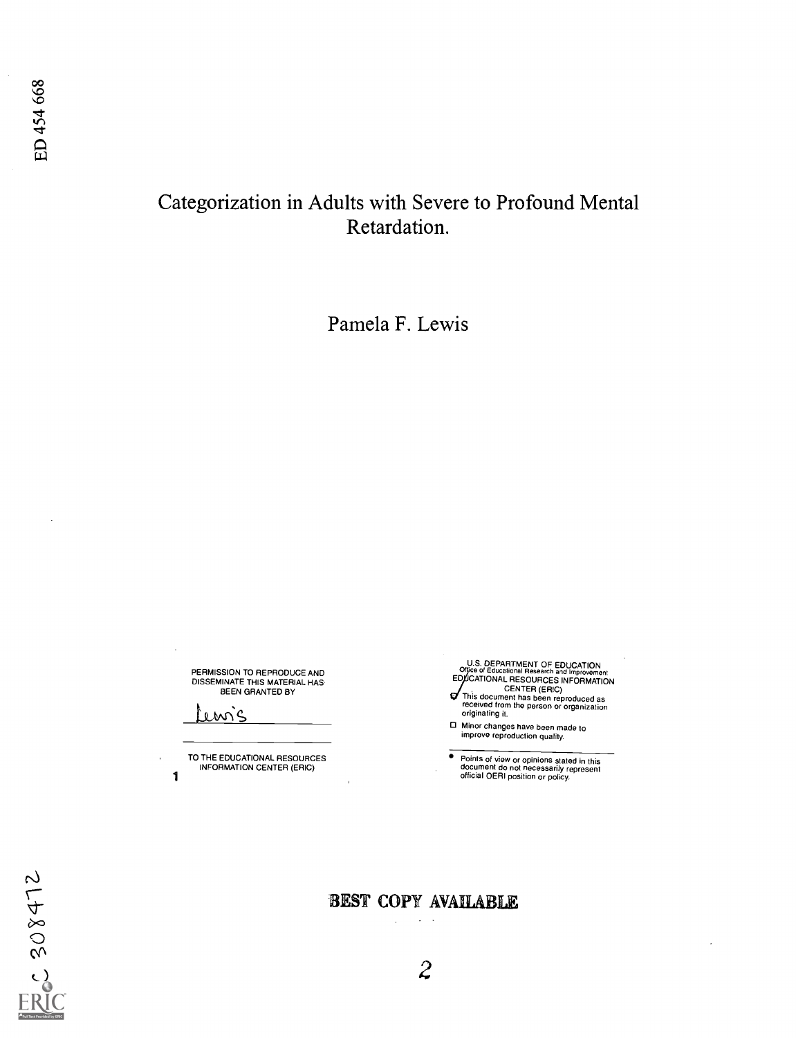## Categorization in Adults with Severe to Profound Mental Retardation.

Pamela F. Lewis

PERMISSION TO REPRODUCE AND DISSEMINATE THIS MATERIAL HAS BEEN GRANTED BY

 $m$   $c$ 

TO THE EDUCATIONAL RESOURCES INFORMATION CENTER (ERIC) 1

U.S. DEPARTMENT OF EDUCATION<br>Office of Educational Research and Improvement<br>EDUCATIONAL RESOURCES INFORMATION CENTER (ERIC) This document has been reproduced as received from the person or organization ิฮ

originating it.

Minor changes have been made to improve reproduction quality.

. Points of view or opinions stated in this<br>document do not necessarily represent<br>official OERI position or policy.

 $C 308472$ 

## BEST COPY AVAIIABILE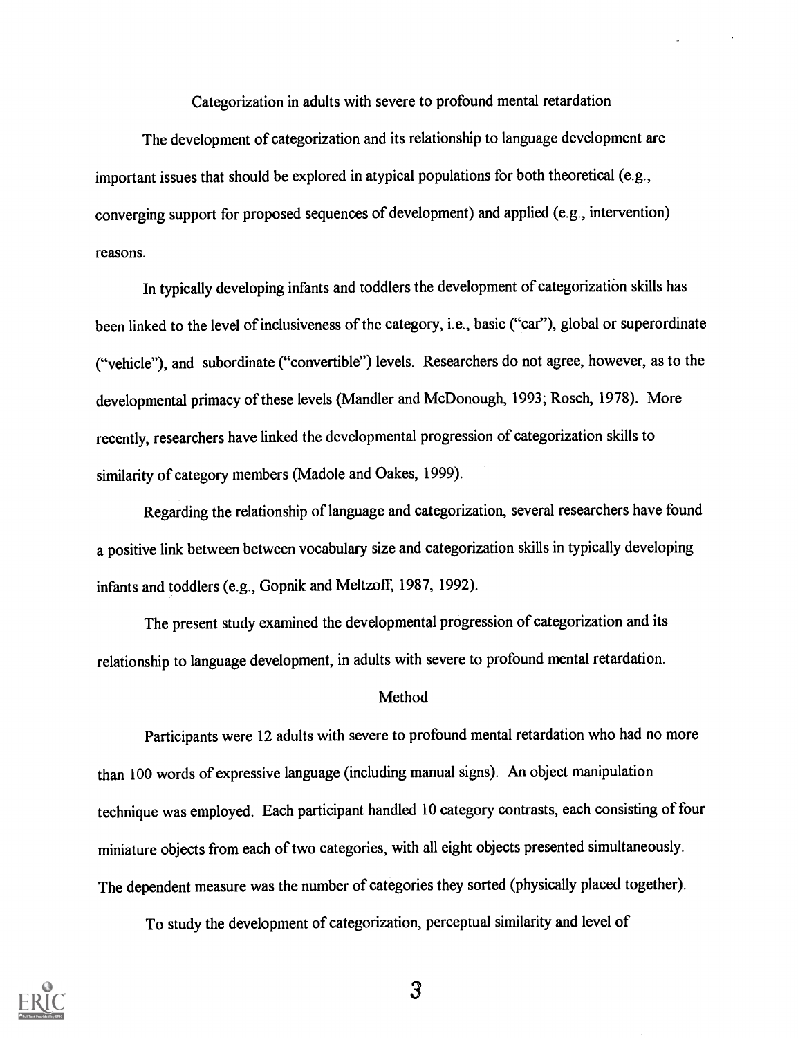Categorization in adults with severe to profound mental retardation

The development of categorization and its relationship to language development are important issues that should be explored in atypical populations for both theoretical (e.g., converging support for proposed sequences of development) and applied (e.g., intervention) reasons.

In typically developing infants and toddlers the development of categorization skills has been linked to the level of inclusiveness of the category, i.e., basic ("car"), global or superordinate ("vehicle"), and subordinate ("convertible") levels. Researchers do not agree, however, as to the developmental primacy of these levels (Mandler and McDonough, 1993; Rosch, 1978). More recently, researchers have linked the developmental progression of categorization skills to similarity of category members (Madole and Oakes, 1999).

Regarding the relationship of language and categorization, several researchers have found a positive link between between vocabulary size and categorization skills in typically developing infants and toddlers (e.g., Gopnik and Meltzoff, 1987, 1992).

The present study examined the developmental progression of categorization and its relationship to language development, in adults with severe to profound mental retardation.

#### Method

Participants were 12 adults with severe to profound mental retardation who had no more than 100 words of expressive language (including manual signs). An object manipulation technique was employed. Each participant handled 10 category contrasts, each consisting of four miniature objects from each of two categories, with all eight objects presented simultaneously. The dependent measure was the number of categories they sorted (physically placed together).

To study the development of categorization, perceptual similarity and level of

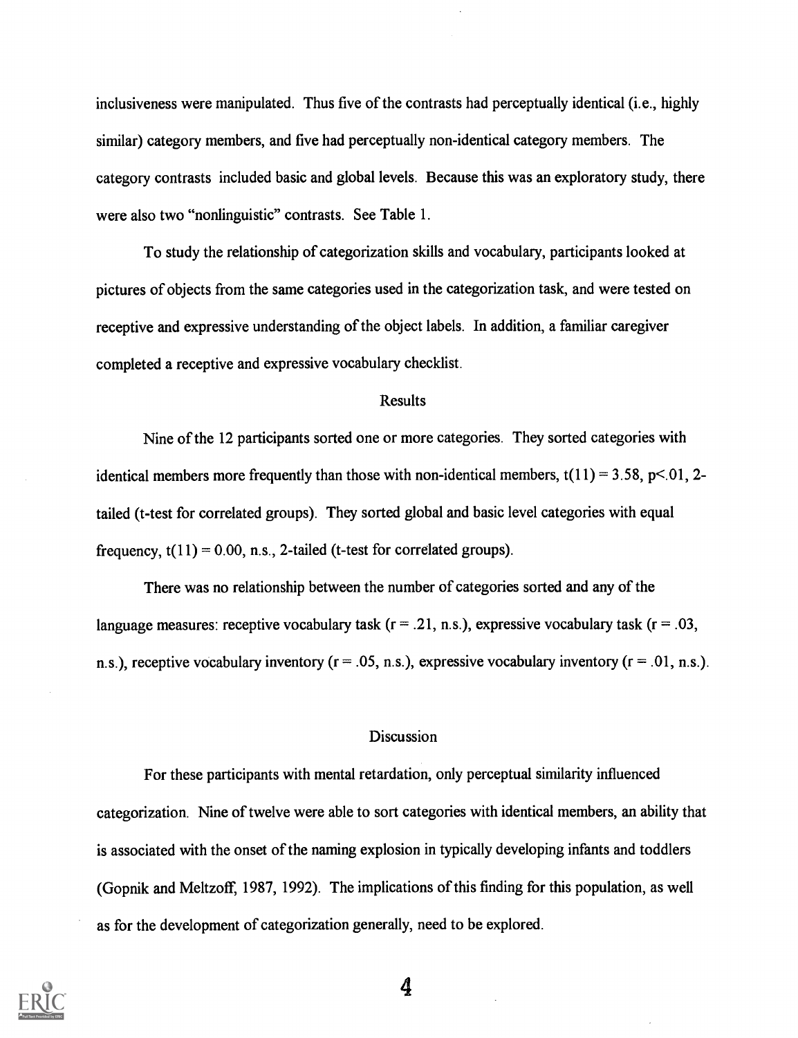inclusiveness were manipulated. Thus five of the contrasts had perceptually identical (i.e., highly similar) category members, and five had perceptually non-identical category members. The category contrasts included basic and global levels. Because this was an exploratory study, there were also two "nonlinguistic" contrasts. See Table 1.

To study the relationship of categorization skills and vocabulary, participants looked at pictures of objects from the same categories used in the categorization task, and were tested on receptive and expressive understanding of the object labels. In addition, a familiar caregiver completed a receptive and expressive vocabulary checklist.

#### Results

Nine of the 12 participants sorted one or more categories. They sorted categories with identical members more frequently than those with non-identical members,  $t(11) = 3.58$ ,  $p \le 01$ , 2tailed (t-test for correlated groups). They sorted global and basic level categories with equal frequency,  $t(11) = 0.00$ , n.s., 2-tailed (t-test for correlated groups).

There was no relationship between the number of categories sorted and any of the language measures: receptive vocabulary task ( $r = .21$ , n.s.), expressive vocabulary task ( $r = .03$ , n.s.), receptive vocabulary inventory ( $r = .05$ , n.s.), expressive vocabulary inventory ( $r = .01$ , n.s.).

#### Discussion

For these participants with mental retardation, only perceptual similarity influenced categorization. Nine of twelve were able to sort categories with identical members, an ability that is associated with the onset of the naming explosion in typically developing infants and toddlers (Gopnik and Meltzoff, 1987, 1992). The implications of this finding for this population, as well as for the development of categorization generally, need to be explored.

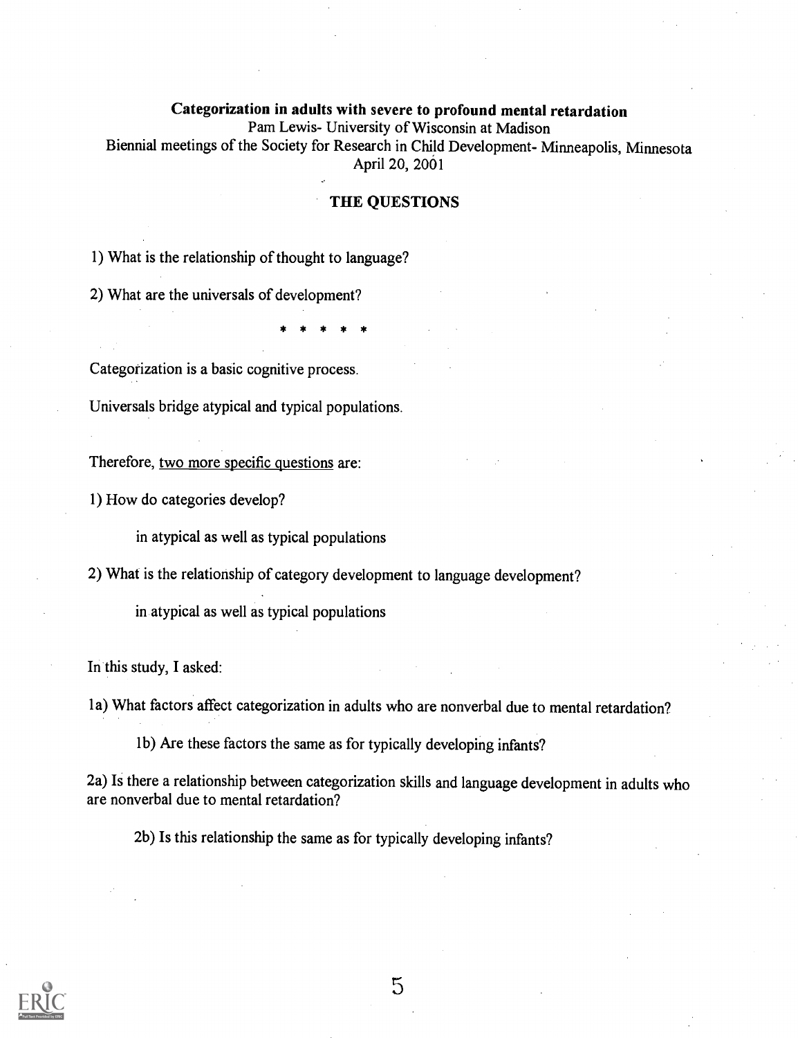### Categorization in adults with severe to profound mental retardation Pam Lewis- University of Wisconsin at Madison Biennial meetings of the Society for Research in Child Development- Minneapolis, Minnesota April 20, 2001

#### THE QUESTIONS

1) What is the relationship of thought to language?

2) What are the universals of development?

\* \* \* \* \*

Categorization is a basic cognitive process.

Universals bridge atypical and typical populations.

Therefore, two more specific questions are:

1) How do categories develop?

in atypical as well as typical populations

2) What is the relationship of category development to language development?

in atypical as well as typical populations

In this study, I asked:

1 a) What factors affect categorization in adults who are nonverbal due to mental retardation?

1 b) Are these factors the same as for typically developing infants?

2a) Is there a relationship between categorization skills and language development in adults who are nonverbal due to mental retardation?

2b) Is this relationship the same as for typically developing infants?

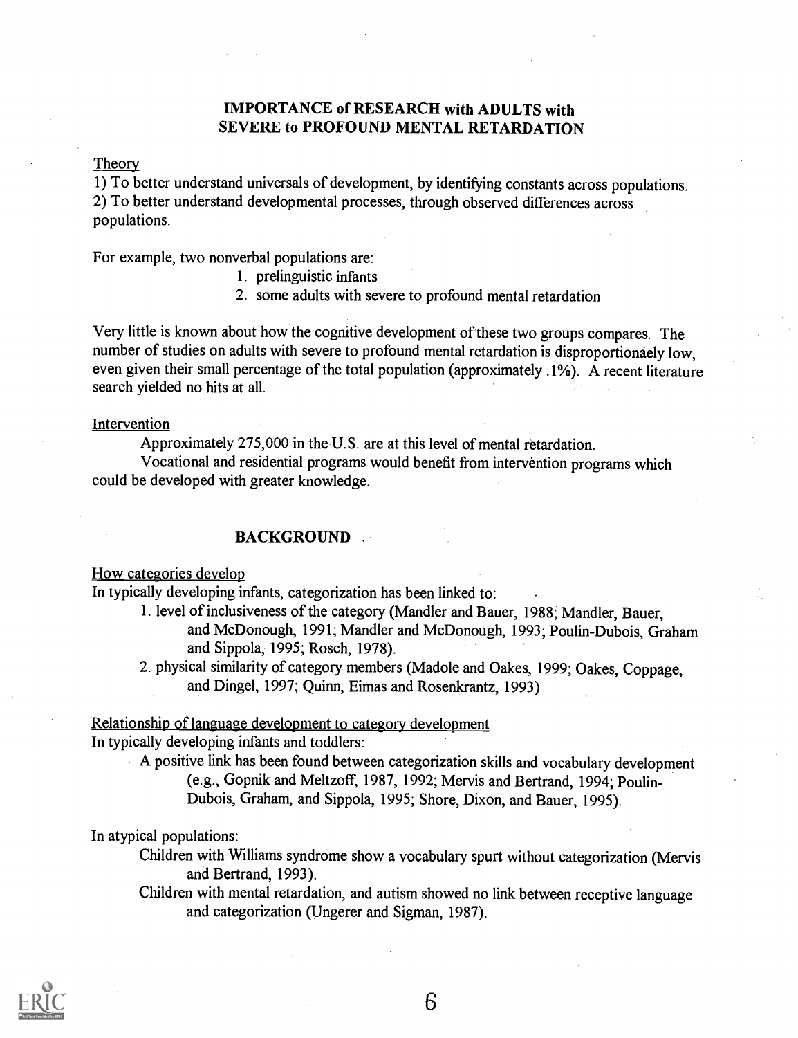### IMPORTANCE of RESEARCH with ADULTS with SEVERE to PROFOUND MENTAL RETARDATION

#### **Theory**

1) To better understand universals of development, by identifying constants across populations. 2) To better understand developmental processes, through observed differences across populations.

For example, two nonverbal populations are:

- 1. prelinguistic infants
- 2. some adults with severe to profound mental retardation

Very little is known about how the cognitive development of these two groups compares. The number of studies on adults with severe to profound mental retardation is disproportionaely low, even given their small percentage of the total population (approximately .1%). A recent literature search yielded no hits at all.

#### Intervention

Approximately 275,000 in the U.S. are at this level of mental retardation.

Vocational and residential programs would benefit from intervention programs which could be developed with greater knowledge.

#### BACKGROUND

How categories develop

In typically developing infants, categorization has been linked to:

1. level of inclusiveness of the category (Mandler and Bauer, 1988; Mandler, Bauer, and McDonough, 1991; Mandler and McDonough, 1993; Poulin-Dubois, Graham and Sippola, 1995; Rosch, 1978).

2. physical similarity of category members (Madole and Oakes, 1999; Oakes, Coppage, and Dingel, 1997; Quinn, Eimas and Rosenkrantz, 1993)

Relationship of language development to category development In typically developing infants and toddlers:

A positive link has been found between categorization skills and vocabulary development (e.g., Gopnik and Meltzoff, 1987, 1992; Mervis and Bertrand, 1994; Poulin-Dubois, Graham, and Sippola, 1995; Shore, Dixon, and Bauer, 1995).

In atypical populations:

Children with Williams syndrome show a vocabulary spurt without categorization (Mervis and Bertrand, 1993).

Children with mental retardation, and autism showed no link between receptive language and categorization (Ungerer and Sigman, 1987).

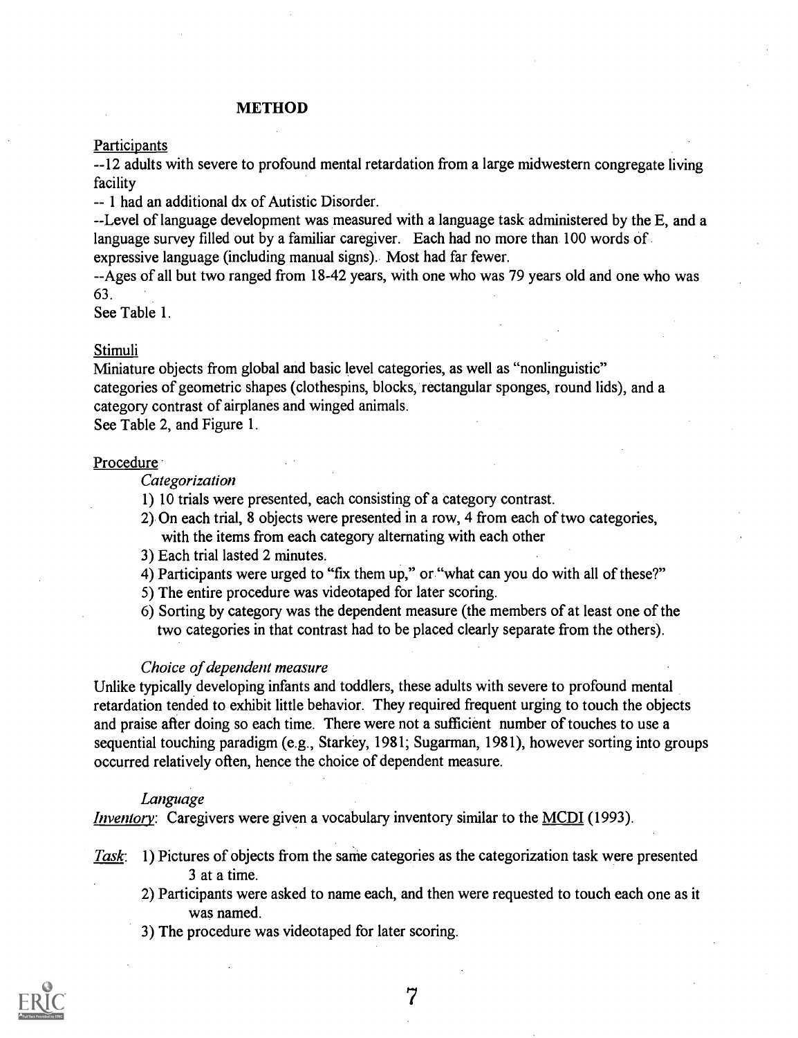#### METHOD

#### Participants

--12 adults with severe to profound mental retardation from a large midwestern congregate living facility

- - 1 had an additional dx of Autistic Disorder.

--Level of language development was measured with a language task administered by the E, and a language survey filled out by a familiar caregiver. Each had no more than 100 words of

expressive language (including manual signs). Most had far fewer.

- -Ages of all but two ranged from 18-42 years, with one who was 79 years old and one who was 63.

See Table 1.

#### Stimuli

Miniature objects from global and basic level categories, as well as "nonlinguistic" categories of geometric shapes (clothespins, blocks, rectangular sponges, round lids), and a category contrast of airplanes and winged animals.

See Table 2, and Figure 1.

#### **Procedure**

#### **Categorization**

- 1) 10 trials were presented, each consisting of a category contrast.
- 2) On each trial, 8 objects were presented in a row, 4 from each of two categories, with the items from each category alternating with each other
- 3) Each trial lasted 2 minutes.
- 4) Participants were urged to "fix them up," or "what can you do with all of these?"
- 5) The entire procedure was videotaped for later scoring.
- 6) Sorting by category was the dependent measure (the members of at least one of the two categories in that contrast had to be placed clearly separate from the others).

#### Choice of dependent measure

Unlike typically developing infants and toddlers, these adults with severe to profound mental retardation tended to exhibit little behavior. They required frequent urging to touch the objects and praise after doing so each time. There were not a sufficient number of touches to use a sequential touching paradigm (e.g., Starkey, 1981; Sugarman, 1981), however sorting into groups occurred relatively often, hence the choice of dependent measure.

#### Language

*Inventory*: Caregivers were given a vocabulary inventory similar to the MCDI (1993).

- Task: 1) Pictures of objects from the same categories as the categorization task were presented 3 at a time.
	- 2) Participants were asked to name each, and then were requested to touch each one as it was named.
	- 3) The procedure was videotaped for later scoring.

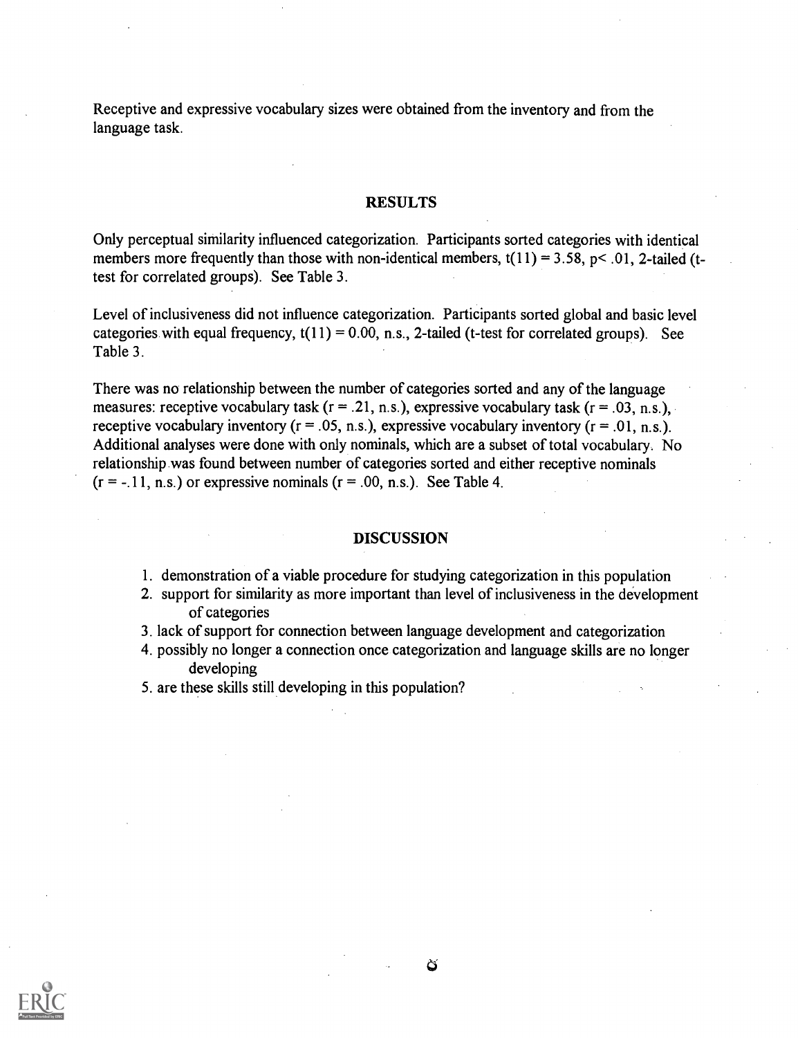Receptive and expressive vocabulary sizes were obtained from the inventory and from the language task.

#### RESULTS

Only perceptual similarity influenced categorization. Participants sorted categories with identical members more frequently than those with non-identical members,  $t(11) = 3.58$ ,  $p < .01$ , 2-tailed (ttest for correlated groups). See Table 3.

Level of inclusiveness did not influence categorization. Participants sorted global and basic level categories with equal frequency,  $t(11) = 0.00$ , n.s., 2-tailed (t-test for correlated groups). See Table 3.

There was no relationship between the number of categories sorted and any of the language measures: receptive vocabulary task ( $r = .21$ , n.s.), expressive vocabulary task ( $r = .03$ , n.s.), receptive vocabulary inventory ( $r = .05$ , n.s.), expressive vocabulary inventory ( $r = .01$ , n.s.). Additional analyses were done with only nominals, which are a subset of total vocabulary. No relationship was found between number of categories sorted and either receptive nominals  $(r = -11, n.s.)$  or expressive nominals  $(r = .00, n.s.).$  See Table 4.

#### DISCUSSION

- 1. demonstration of a viable procedure for studying categorization in this population
- 2. support for similarity as more important than level of inclusiveness in the development of categories
- 3. lack of support for connection between language development and categorization
- 4. possibly no longer a connection once categorization and language skills are no longer developing
- 5. are these skills still developing in this population?

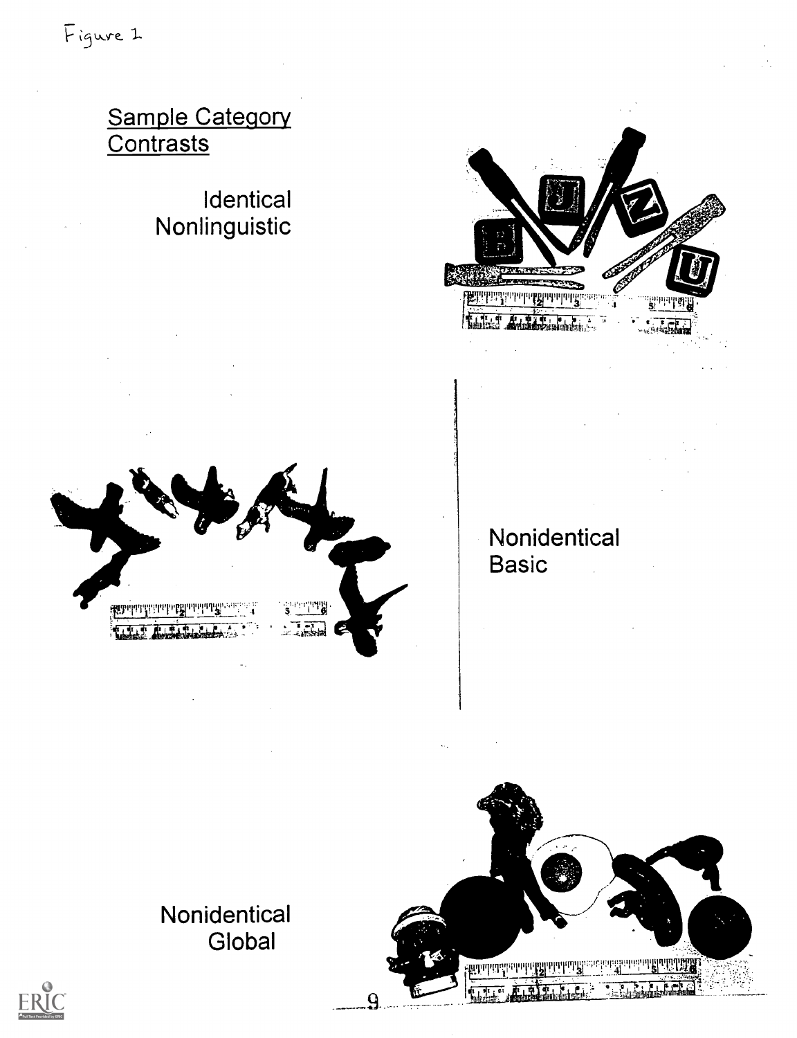## Sample Category Contrasts

# $\Xi$ nnguiouc





### Nonidentical **Basic**  $\frac{1}{2}$

Global



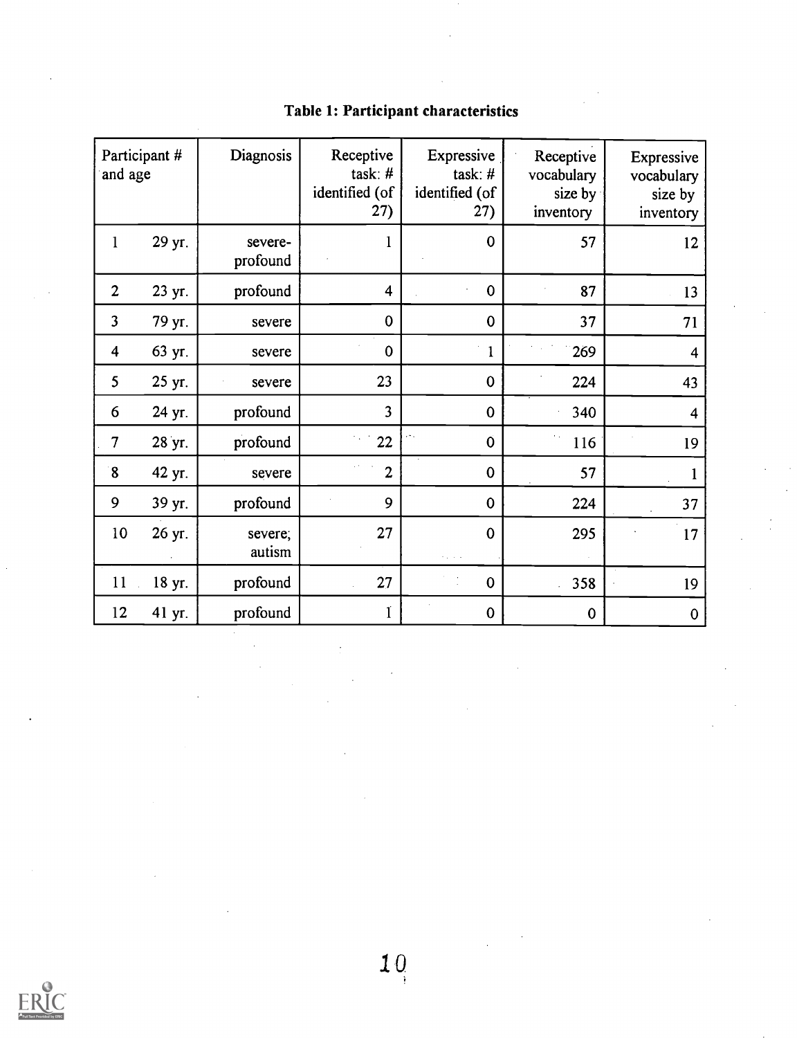| and age                 | Participant # | Diagnosis           | Receptive<br>task: $#$<br>identified (of<br>27) | Expressive<br>task: $#$<br>identified (of<br>27) | Receptive<br>vocabulary<br>size by<br>inventory | Expressive<br>vocabulary<br>size by<br>inventory |
|-------------------------|---------------|---------------------|-------------------------------------------------|--------------------------------------------------|-------------------------------------------------|--------------------------------------------------|
| $\mathbf{1}$            | 29 yr.        | severe-<br>profound |                                                 | $\mathbf 0$                                      | 57                                              | 12                                               |
| $\overline{2}$          | 23 yr.        | profound            | $\overline{\mathbf{4}}$                         | $\bf{0}$                                         | 87                                              | 13                                               |
| $\overline{\mathbf{3}}$ | 79 yr.        | severe              | $\mathbf 0$                                     | $\mathbf 0$                                      | 37                                              | 71                                               |
| $\overline{4}$          | 63 yr.        | severe              | $\mathbf 0$                                     | $\mathbf{1}$                                     | 269                                             | $\overline{4}$                                   |
| 5                       | 25 yr.        | severe              | 23                                              | $\bf{0}$                                         | 224                                             | 43                                               |
| 6                       | 24 yr.        | profound            | $\overline{3}$                                  | $\mathbf 0$                                      | 340                                             | $\overline{\mathbf{4}}$                          |
| $\overline{7}$          | 28 yr.        | profound            | 22                                              | $\boldsymbol{0}$                                 | 116                                             | 19                                               |
| $\boldsymbol{8}$        | 42 yr.        | severe              | $\overline{2}$                                  | $\mathbf 0$                                      | 57                                              |                                                  |
| 9                       | 39 yr.        | profound            | 9                                               | $\mathbf 0$                                      | 224                                             | 37                                               |
| 10                      | 26 yr.        | severe;<br>autism   | 27                                              | $\mathbf 0$                                      | 295                                             | 17                                               |
| 11                      | 18 yr.        | profound            | 27                                              | $\mathbf 0$                                      | 358                                             | 19                                               |
| 12                      | 41 yr.        | profound            | ľ                                               | $\boldsymbol{0}$                                 | $\mathbf 0$                                     | $\mathbf 0$                                      |

## Table 1: Participant characteristics

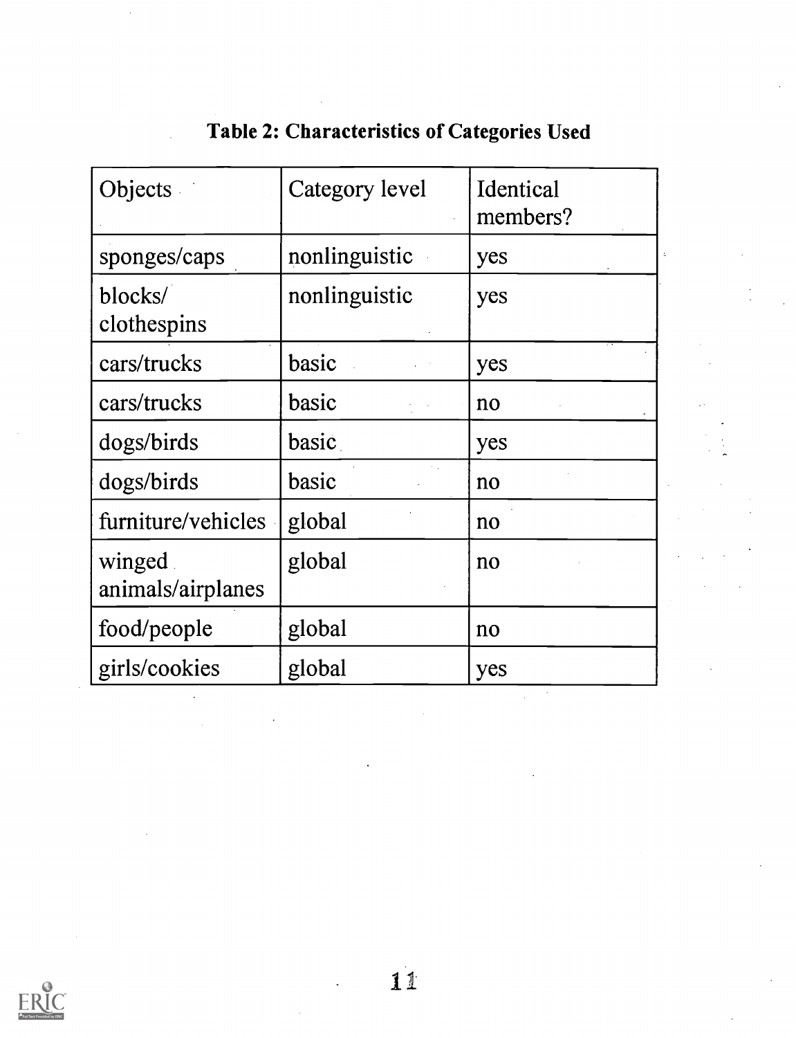| Objects                     | Category level | Identical<br>members? |  |
|-----------------------------|----------------|-----------------------|--|
| sponges/caps                | nonlinguistic  | yes                   |  |
| blocks/<br>clothespins      | nonlinguistic  | yes                   |  |
| cars/trucks                 | basic          | yes                   |  |
| cars/trucks                 | basic          | no                    |  |
| dogs/birds                  | basic          | yes                   |  |
| dogs/birds                  | basic          | no                    |  |
| furniture/vehicles          | global         | no                    |  |
| winged<br>animals/airplanes | global         | no                    |  |
| food/people                 | global         | no                    |  |
| girls/cookies               | global         | yes                   |  |

## Table 2: Characteristics of Categories Used

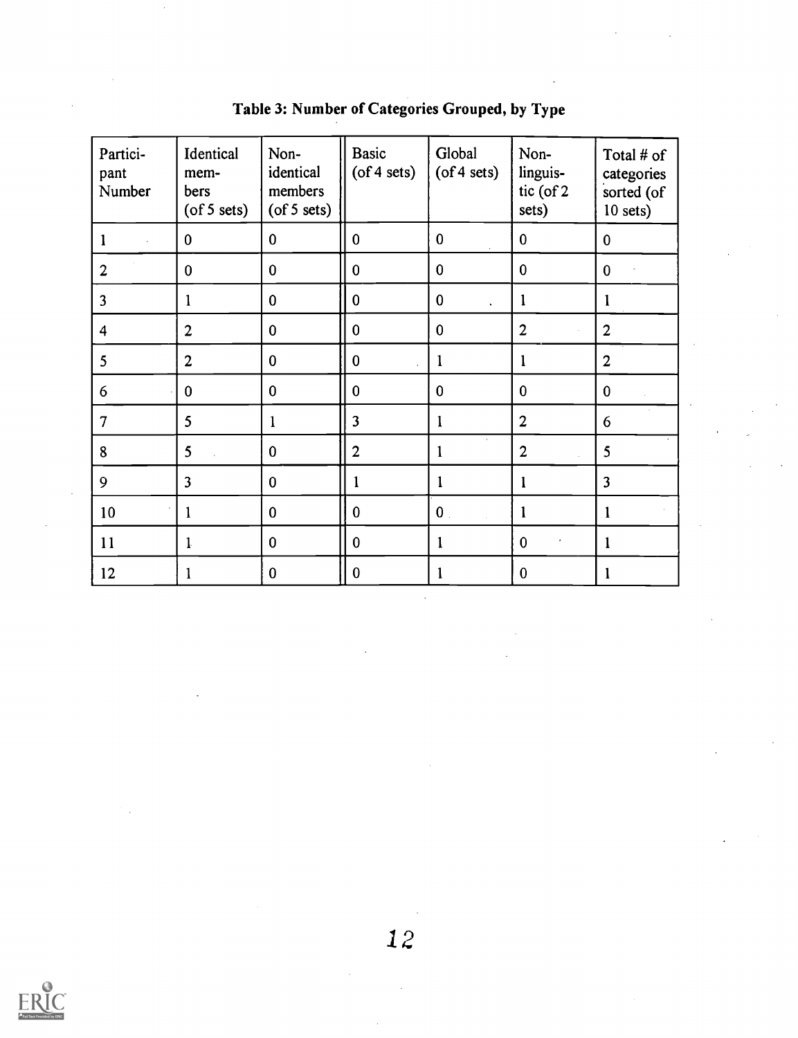| Partici-<br>pant<br>Number | Identical<br>mem-<br>bers<br>$($ of 5 sets $)$ | Non-<br>identical<br>members<br>$($ of 5 sets $)$ | <b>Basic</b><br>$($ of 4 sets $)$ | Global<br>$($ of 4 sets $)$      | Non-<br>linguis-<br>tic (of 2<br>sets) | Total # of<br>categories<br>sorted (of<br>$10$ sets) |
|----------------------------|------------------------------------------------|---------------------------------------------------|-----------------------------------|----------------------------------|----------------------------------------|------------------------------------------------------|
|                            | $\bf{0}$                                       | $\mathbf 0$                                       | $\mathbf{0}$                      | $\mathbf{0}$                     | $\mathbf{0}$                           | $\mathbf{0}$                                         |
| $\overline{2}$             | $\mathbf{0}$                                   | $\mathbf 0$                                       | $\bf{0}$                          | $\bf{0}$                         | $\mathbf{0}$                           | $\mathbf{0}$                                         |
| 3                          | $\mathbf{1}$                                   | $\bf{0}$                                          | $\bf{0}$                          | $\bf{0}$<br>$\ddot{\phantom{1}}$ | $\mathbf{1}$                           | 1                                                    |
| $\overline{4}$             | $\overline{2}$                                 | $\mathbf 0$                                       | $\bf{0}$                          | $\mathbf 0$                      | $\overline{2}$<br>$\mathcal{L}$        | $\overline{2}$                                       |
| 5                          | $\overline{2}$                                 | $\bf{0}$                                          | $\bf{0}$                          | $\mathbf{1}$                     | $\mathbf{1}$                           | $\overline{2}$                                       |
| 6                          | $\bf{0}$                                       | $\mathbf 0$                                       | $\bf{0}$                          | $\mathbf{0}$                     | $\mathbf{0}$                           | $\mathbf{0}$                                         |
| $\overline{7}$             | 5                                              | $\mathbf{1}$                                      | 3                                 | $\mathbf{1}$                     | $\overline{2}$                         | 6                                                    |
| 8                          | 5                                              | $\mathbf 0$                                       | $\overline{2}$                    | $\mathbf{1}$                     | $\overline{2}$<br>÷.                   | 5                                                    |
| 9                          | $\overline{3}$                                 | $\bf{0}$                                          | 1                                 | $\mathbf{1}$                     | $\mathbf{1}$                           | $\overline{\mathbf{3}}$                              |
| 10                         | $\mathbf{1}$                                   | $\overline{0}$                                    | $\mathbf{0}$                      | $\mathbf{0}$ .                   | 1                                      | $\mathbf 1$                                          |
| 11                         | $\mathbf{1}$                                   | $\bf{0}$                                          | $\bf{0}$                          | $\mathbf{1}$                     | $\mathbf{0}$                           | $\mathbf{1}$                                         |
| 12                         | 1                                              | $\bf{0}$                                          | $\boldsymbol{0}$                  | 1                                | $\mathbf{0}$                           | 1                                                    |

Table 3: Number of Categories Grouped, by Type

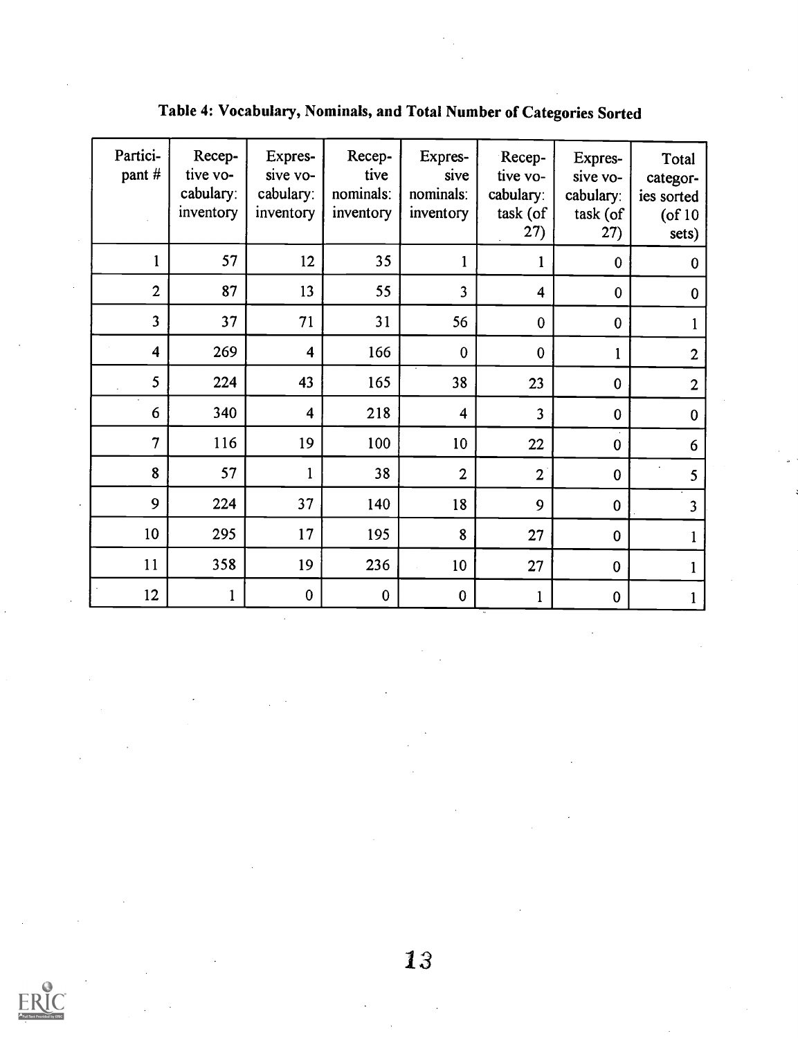| Partici-<br>pant #      | Recep-<br>tive vo-<br>cabulary:<br>inventory | Expres-<br>sive vo-<br>cabulary:<br>inventory | Recep-<br>tive<br>nominals:<br>inventory | Expres-<br>sive<br>nominals:<br>inventory | Recep-<br>tive vo-<br>cabulary:<br>task (of<br>27) | Expres-<br>sive vo-<br>cabulary:<br>task (of<br>27) | Total<br>categor-<br>ies sorted<br>$($ of 10<br>sets) |  |
|-------------------------|----------------------------------------------|-----------------------------------------------|------------------------------------------|-------------------------------------------|----------------------------------------------------|-----------------------------------------------------|-------------------------------------------------------|--|
| $\mathbf{1}$            | 57                                           | 12                                            | 35                                       | $\mathbf{1}$                              | $\mathbf{1}$                                       | $\bf{0}$                                            | $\boldsymbol{0}$                                      |  |
| $\overline{2}$          | 87                                           | 13                                            | 55                                       | 3                                         | $\overline{\mathbf{4}}$                            | $\mathbf 0$                                         | $\bf{0}$                                              |  |
| $\overline{\mathbf{3}}$ | 37                                           | 71                                            | 31                                       | 56                                        | $\mathbf 0$                                        | $\mathbf{0}$                                        | $\mathbf{1}$                                          |  |
| $\overline{\mathbf{4}}$ | 269                                          | $\overline{\mathbf{4}}$                       | 166                                      | $\bf{0}$                                  | $\mathbf{0}$                                       | $\mathbf{1}$                                        | $\mathbf{2}$                                          |  |
| 5                       | 224                                          | 43                                            | 165                                      | 38                                        | 23                                                 | $\mathbf 0$                                         | $\overline{2}$                                        |  |
| 6                       | 340                                          | $\overline{\mathbf{4}}$                       | 218                                      | $\overline{\mathbf{4}}$                   | $\overline{\mathbf{3}}$                            | $\mathbf 0$                                         | $\mathbf 0$                                           |  |
| $\overline{7}$          | 116                                          | 19                                            | 100                                      | 10                                        | 22                                                 | $\bf{0}$                                            | 6                                                     |  |
| 8                       | 57                                           | $\mathbf{1}$                                  | 38                                       | $\overline{2}$                            | $\overline{2}$                                     | $\mathbf 0$                                         | 5                                                     |  |
| 9                       | 224                                          | 37                                            | 140                                      | 18                                        | 9                                                  | $\bf{0}$                                            | $\overline{\mathbf{3}}$                               |  |
| 10                      | 295                                          | 17                                            | 195                                      | 8                                         | 27                                                 | $\pmb{0}$                                           | $\mathbf{1}$                                          |  |
| 11                      | 358                                          | 19                                            | 236                                      | 10                                        | 27                                                 | $\mathbf 0$                                         | $\mathbf{1}$                                          |  |
| 12                      | $\mathbf{1}$                                 | $\pmb{0}$                                     | $\bf{0}$                                 | $\boldsymbol{0}$                          | $\mathbf{1}$                                       | $\pmb{0}$                                           | $\mathbf{1}$                                          |  |

## Table 4: Vocabulary, Nominals, and Total Number of Categories Sorted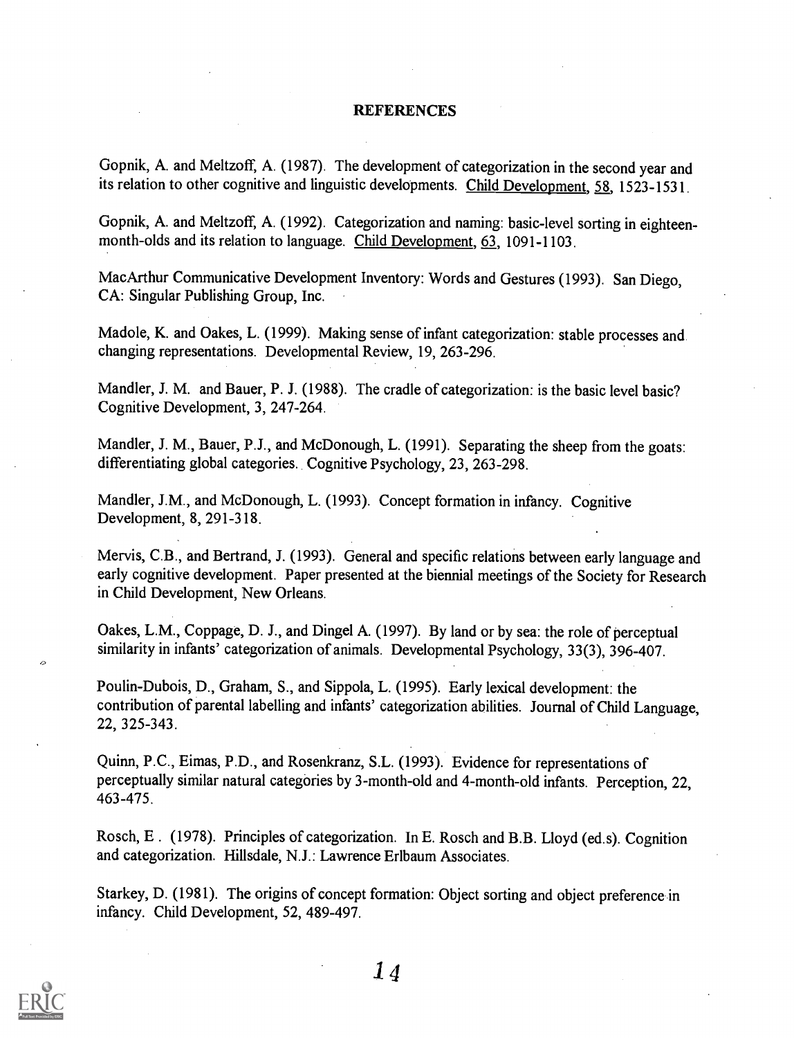#### **REFERENCES**

Gopnik, A. and Meltzoff, A. (1987). The development of categorization in the second year and its relation to other cognitive and linguistic developments. Child Development, 58, 1523-1531.

Gopnik, A. and Meltzoff, A. (1992). Categorization and naming: basic-level sorting in eighteenmonth-olds and its relation to language. Child Development, 63, 1091-1103.

MacArthur Communicative Development Inventory: Words and Gestures (1993). San Diego, CA: Singular Publishing Group, Inc.

Madole, K. and Oakes, L. (1999). Making sense of infant categorization: stable processes and changing representations. Developmental Review, 19, 263-296.

Mandler, J. M. and Bauer, P. J. (1988). The cradle of categorization: is the basic level basic? Cognitive Development, 3, 247-264.

Mandler, J. M., Bauer, P.J., and McDonough, L. (1991). Separating the sheep from the goats: differentiating global categories. Cognitive Psychology, 23, 263-298.

Mandler, J.M., and McDonough, L. (1993). Concept formation in infancy. Cognitive Development, 8, 291-318.

Mervis, C.B., and Bertrand, J. (1993). General and specific relations between early language and early cognitive development. Paper presented at the biennial meetings of the Society for Research in Child Development, New Orleans.

Oakes, L.M., Coppage, D. J., and Dingel A. (1997). By land or by sea: the role of perceptual similarity in infants' categorization of animals. Developmental Psychology, 33(3), 396-407.

Poulin-Dubois, D., Graham, S., and Sippola, L. (1995). Early lexical development: the contribution of parental labelling and infants' categorization abilities. Journal of Child Language, 22, 325-343.

Quinn, P.C., Eimas, P.D., and Rosenkranz, S.L. (1993). Evidence for representations of perceptually similar natural categories by 3-month-old and 4-month-old infants. Perception, 22, 463-475.

Rosch, E. (1978). Principles of categorization. In E. Rosch and B.B. Lloyd (ed.s). Cognition and categorization. Hillsdale, N.J.: Lawrence Erlbaum Associates.

Starkey, D. (1981). The origins of concept formation: Object sorting and object preference in infancy. Child Development, 52, 489-497.

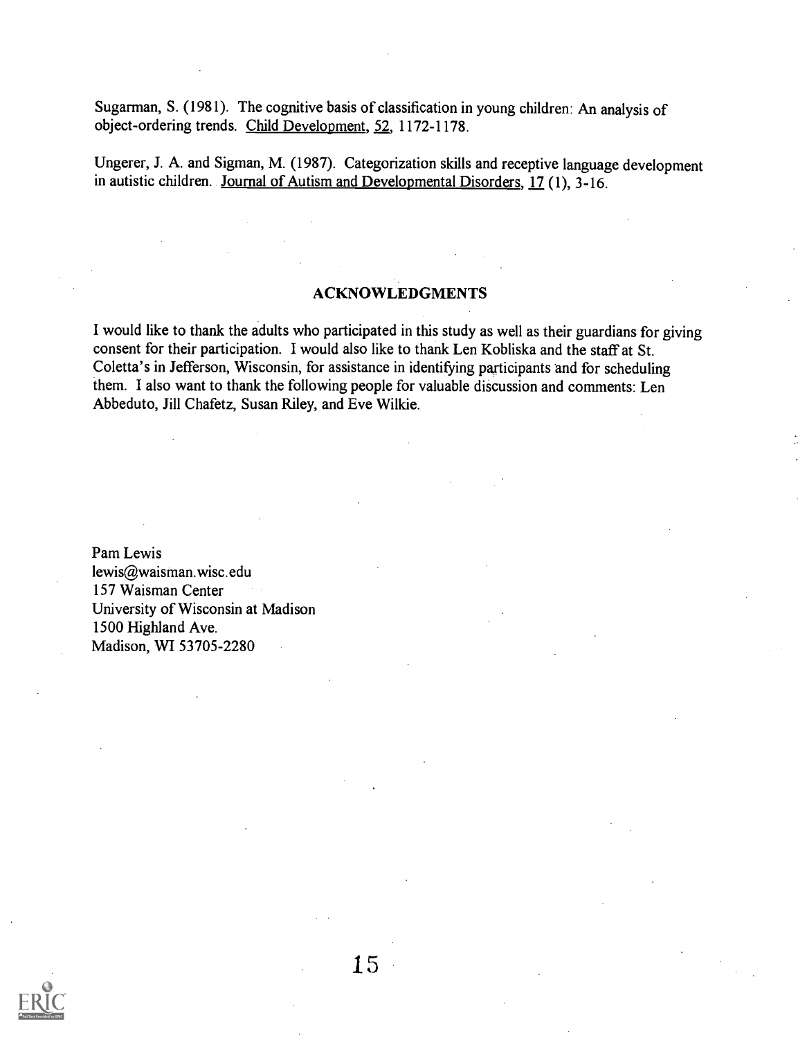Sugarman, S. (1981). The cognitive basis of classification in young children: An analysis of object-ordering trends. Child Development, 52, 1172-1178.

Ungerer, J. A. and Sigman, M. (1987). Categorization skills and receptive language development in autistic children. Journal of Autism and Developmental Disorders, 17 (1), 3-16.

### ACKNOWLEDGMENTS

I would like to thank the adults who participated in this study as well as their guardians for giving consent for their participation. I would also like to thank Len Kobliska and the staff at St. Coletta's in Jefferson, Wisconsin, for assistance in identifying participants and for scheduling them. I also want to thank the following people for valuable discussion and comments: Len Abbeduto, Jill Chafetz, Susan Riley, and Eve Wilkie.

Pam Lewis lewis@waisman.wisc.edu 157 Waisman Center University of Wisconsin at Madison 1500 Highland Ave. Madison, WI 53705-2280

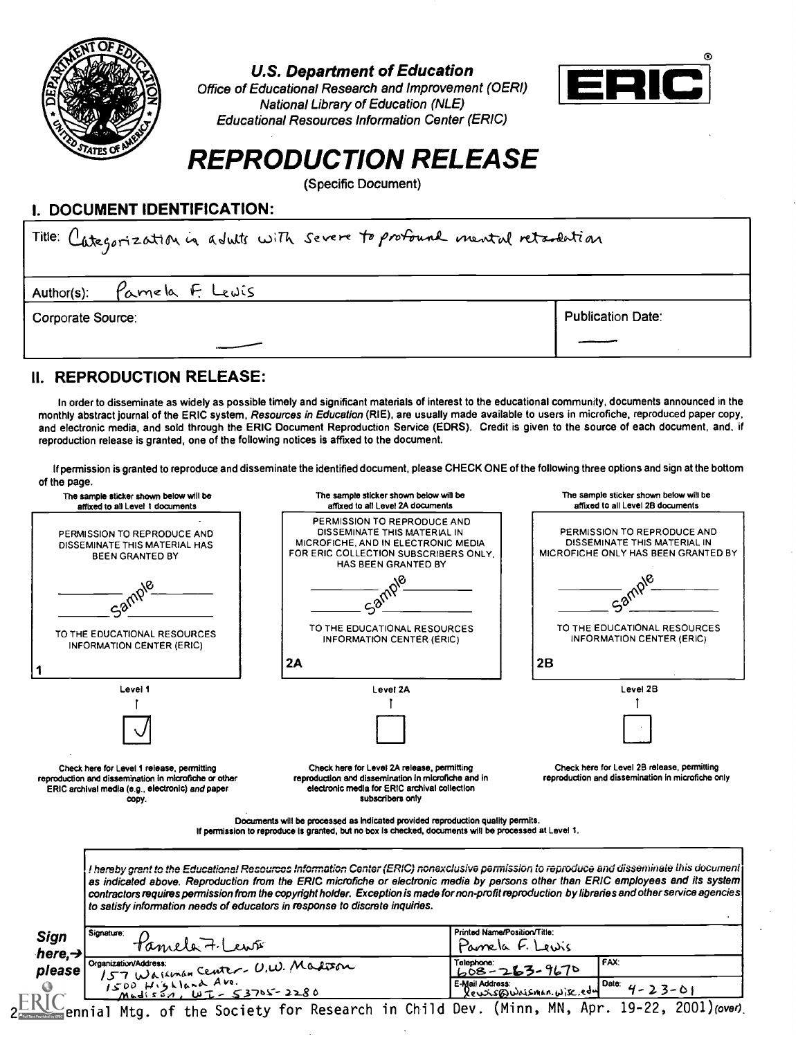

U.S. Department of Education

Office of Educational Research and Improvement (OERI) National Library of Education (NLE) Educational Resources Information Center (ERIC)



## REPRODUCTION RELEASE

(Specific Document)

### I. DOCUMENT IDENTIFICATION:

| Title: Categorization in adults with severe to profound mental retardation |                          |  |  |  |  |
|----------------------------------------------------------------------------|--------------------------|--|--|--|--|
| Author(s): Pamela F. Lewis                                                 |                          |  |  |  |  |
| Corporate Source:                                                          | <b>Publication Date:</b> |  |  |  |  |
|                                                                            |                          |  |  |  |  |

## II. REPRODUCTION RELEASE:

In order to disseminate as widely as possible timely and significant materials of interest to the educational community, documents announced in the monthly abstract journal of the ERIC system, Resources in Education (RIE), are usually made available to users in microfiche, reproduced paper copy, and electronic media, and sold through the ERIC Document Reproduction Service (EDRS). Credit is given to the source of each document, and, if reproduction release is granted, one of the following notices is affixed to the document.

If permission is granted to reproduce and disseminate the identified document, please CHECK ONE of the following three options and sign at the bottom of the page.